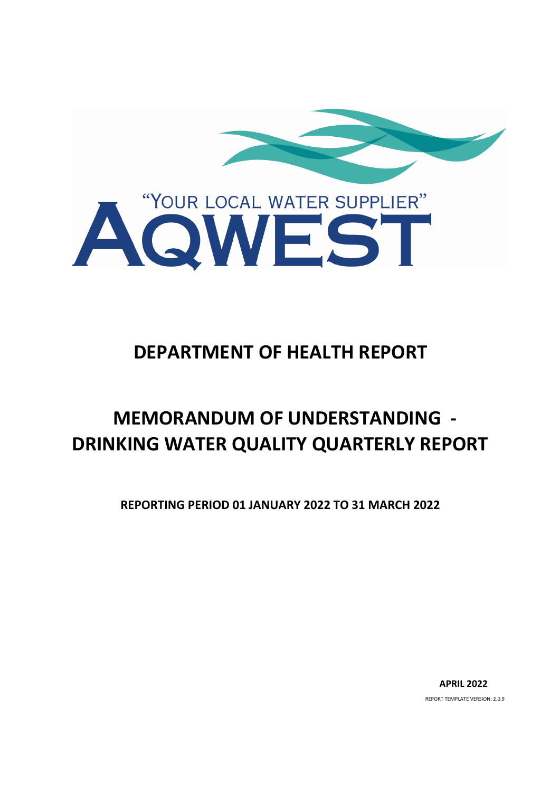

# **DEPARTMENT OF HEALTH REPORT**

# **MEMORANDUM OF UNDERSTANDING - DRINKING WATER QUALITY QUARTERLY REPORT**

**REPORTING PERIOD 01 JANUARY 2022 TO 31 MARCH 2022**

**APRIL 2022** REPORT TEMPLATE VERSION: 2.0.9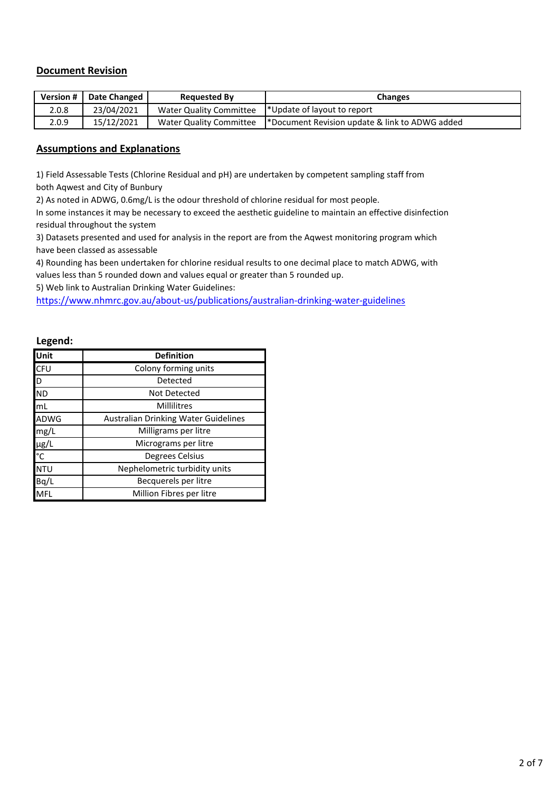# **Document Revision**

| Version # | Date Changed<br><b>Requested By</b> |                         | <b>Changes</b>                                          |  |  |  |
|-----------|-------------------------------------|-------------------------|---------------------------------------------------------|--|--|--|
| 2.0.8     | 23/04/2021                          | Water Quality Committee | Veta l <sup>*</sup> Update of layout to report          |  |  |  |
| 2.0.9     | 15/12/2021                          | Water Quality Committee | <b>N</b> *Document Revision update & link to ADWG added |  |  |  |

# **Assumptions and Explanations**

1) Field Assessable Tests (Chlorine Residual and pH) are undertaken by competent sampling staff from both Aqwest and City of Bunbury

2) As noted in ADWG, 0.6mg/L is the odour threshold of chlorine residual for most people.

In some instances it may be necessary to exceed the aesthetic guideline to maintain an effective disinfection residual throughout the system

3) Datasets presented and used for analysis in the report are from the Aqwest monitoring program which have been classed as assessable

4) Rounding has been undertaken for chlorine residual results to one decimal place to match ADWG, with values less than 5 rounded down and values equal or greater than 5 rounded up.

5) Web link to Australian Drinking Water Guidelines:

<https://www.nhmrc.gov.au/about-us/publications/australian-drinking-water-guidelines>

# **Legend:**

| Unit        | <b>Definition</b>                    |
|-------------|--------------------------------------|
| <b>CFU</b>  | Colony forming units                 |
| þ           | Detected                             |
| <b>ND</b>   | Not Detected                         |
| mL          | Millilitres                          |
| <b>ADWG</b> | Australian Drinking Water Guidelines |
| mg/L        | Milligrams per litre                 |
| μg/L<br>°C  | Micrograms per litre                 |
|             | Degrees Celsius                      |
| <b>NTU</b>  | Nephelometric turbidity units        |
| Bq/L        | Becquerels per litre                 |
| MFL         | Million Fibres per litre             |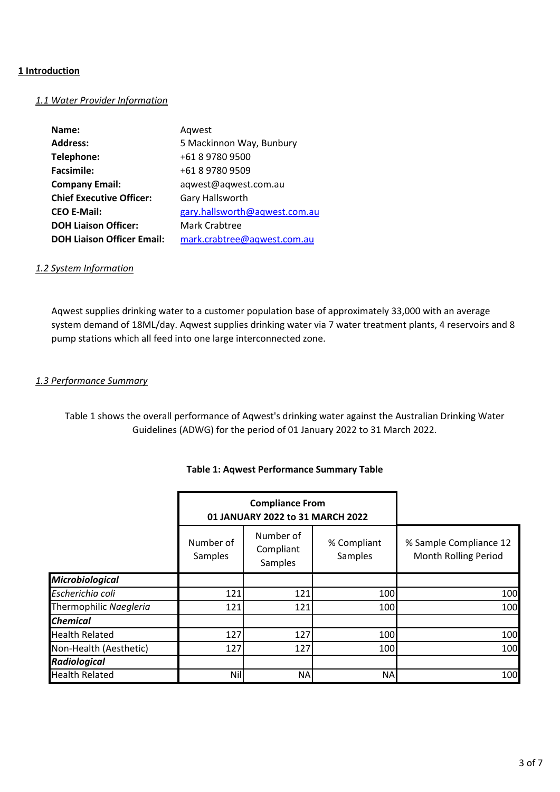# **1 Introduction**

# *1.1 Water Provider Information*

| Name:                             | Aqwest                        |
|-----------------------------------|-------------------------------|
| <b>Address:</b>                   | 5 Mackinnon Way, Bunbury      |
| Telephone:                        | +61 8 9780 9500               |
| <b>Facsimile:</b>                 | +61 8 9780 9509               |
| <b>Company Email:</b>             | aqwest@aqwest.com.au          |
| <b>Chief Executive Officer:</b>   | Gary Hallsworth               |
| <b>CEO E-Mail:</b>                | gary.hallsworth@aqwest.com.au |
| <b>DOH Liaison Officer:</b>       | Mark Crabtree                 |
| <b>DOH Liaison Officer Email:</b> | mark.crabtree@aqwest.com.au   |

# *1.2 System Information*

Aqwest supplies drinking water to a customer population base of approximately 33,000 with an average system demand of 18ML/day. Aqwest supplies drinking water via 7 water treatment plants, 4 reservoirs and 8 pump stations which all feed into one large interconnected zone.

# *1.3 Performance Summary*

Table 1 shows the overall performance of Aqwest's drinking water against the Australian Drinking Water Guidelines (ADWG) for the period of 01 January 2022 to 31 March 2022.

|                        |                      | <b>Compliance From</b><br>01 JANUARY 2022 to 31 MARCH 2022 |                        |                                                |
|------------------------|----------------------|------------------------------------------------------------|------------------------|------------------------------------------------|
|                        | Number of<br>Samples | Number of<br>Compliant<br>Samples                          | % Compliant<br>Samples | % Sample Compliance 12<br>Month Rolling Period |
| <b>Microbiological</b> |                      |                                                            |                        |                                                |
| Escherichia coli       | 121                  | 121                                                        | 100                    | 100                                            |
| Thermophilic Naegleria | 121                  | 121                                                        | 100                    | 100                                            |
| <b>Chemical</b>        |                      |                                                            |                        |                                                |
| <b>Health Related</b>  | 127                  | 127                                                        | 100                    | 100                                            |
| Non-Health (Aesthetic) | 127                  | 127                                                        | 100                    | 100                                            |
| Radiological           |                      |                                                            |                        |                                                |
| <b>Health Related</b>  | Nil                  | <b>NA</b>                                                  | <b>NA</b>              | 100                                            |

# **Table 1: Aqwest Performance Summary Table**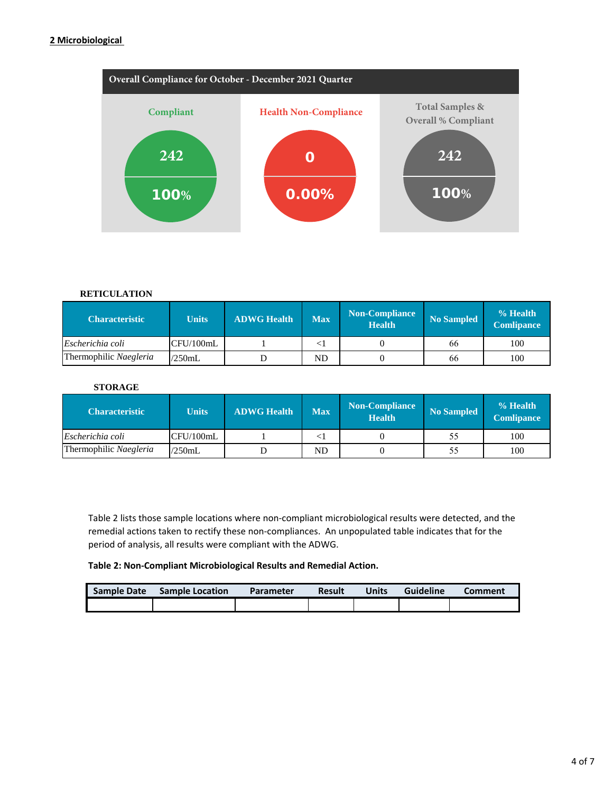#### **2 Microbiological**



#### **RETICULATION**

| <b>Characteristic</b>  | <b>Units</b> | <b>ADWG Health</b> | <b>Max</b> | Non-Compliance<br><b>Health</b> | <b>No Sampled</b> | % Health<br><b>Comlipance</b> |
|------------------------|--------------|--------------------|------------|---------------------------------|-------------------|-------------------------------|
| Escherichia coli       | CFU/100mL    |                    |            |                                 | 66                | 100                           |
| Thermophilic Naegleria | /250mL       |                    | ND         |                                 | 66                | 100                           |

# **STORAGE**

| <b>Characteristic</b>  | <b>Units</b> | <b>ADWG Health</b> | <b>Max</b> | <b>Non-Compliance</b><br><b>Health</b> | <b>No Sampled</b> | $%$ Health<br><b>Comlipance</b> |
|------------------------|--------------|--------------------|------------|----------------------------------------|-------------------|---------------------------------|
| Escherichia coli       | CFU/100mL    |                    | ≤I         |                                        | 55                | 100                             |
| Thermophilic Naegleria | /250mL       |                    | ND         |                                        | 55                | 100                             |

Table 2 lists those sample locations where non-compliant microbiological results were detected, and the remedial actions taken to rectify these non-compliances. An unpopulated table indicates that for the period of analysis, all results were compliant with the ADWG.

#### **Table 2: Non-Compliant Microbiological Results and Remedial Action.**

| Sample Date | <b>Sample Location</b> | Parameter | <b>Result</b> | Units | Guideline | <b>Comment</b> |
|-------------|------------------------|-----------|---------------|-------|-----------|----------------|
|             |                        |           |               |       |           |                |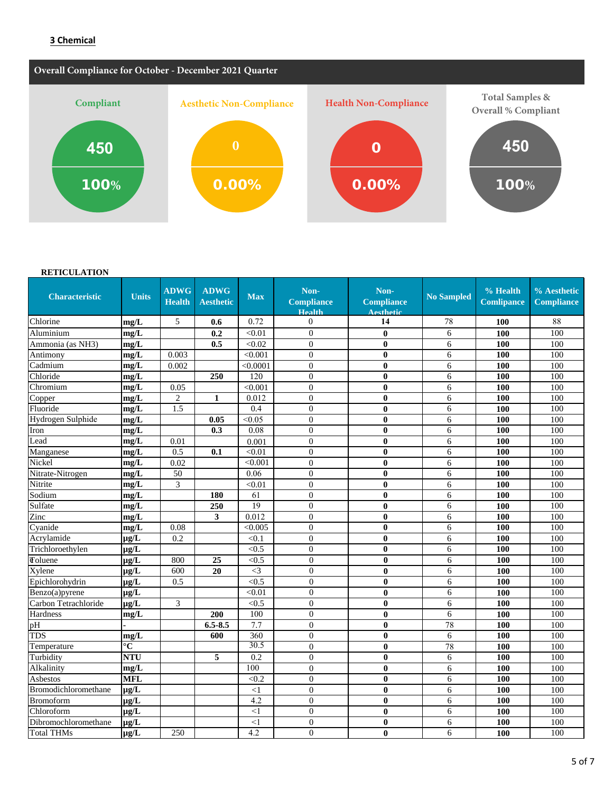# **3 Chemical**



#### **RETICULATION**

| <b>Characteristic</b> | <b>Units</b>            | <b>ADWG</b><br><b>Health</b> | <b>ADWG</b><br><b>Aesthetic</b> | <b>Max</b>      | Non-<br><b>Compliance</b><br><b>Health</b> | Non-<br><b>Compliance</b><br><b>Aesthetic</b> | <b>No Sampled</b> | % Health<br><b>Comlipance</b> | % Aesthetic<br><b>Compliance</b> |
|-----------------------|-------------------------|------------------------------|---------------------------------|-----------------|--------------------------------------------|-----------------------------------------------|-------------------|-------------------------------|----------------------------------|
| Chlorine              | mg/L                    | 5                            | 0.6                             | 0.72            | $\overline{0}$                             | 14                                            | 78                | 100                           | 88                               |
| Aluminium             | mg/L                    |                              | 0.2                             | < 0.01          | $\overline{0}$                             | $\bf{0}$                                      | 6                 | 100                           | 100                              |
| Ammonia (as NH3)      | mg/L                    |                              | 0.5                             | < 0.02          | $\theta$                                   | $\bf{0}$                                      | 6                 | 100                           | 100                              |
| Antimony              | mg/L                    | 0.003                        |                                 | < 0.001         | $\overline{0}$                             | $\bf{0}$                                      | 6                 | 100                           | 100                              |
| Cadmium               | mg/L                    | 0.002                        |                                 | < 0.0001        | $\overline{0}$                             | $\mathbf{0}$                                  | 6                 | 100                           | 100                              |
| Chloride              | mg/L                    |                              | 250                             | 120             | $\overline{0}$                             | $\bf{0}$                                      | 6                 | 100                           | 100                              |
| Chromium              | mg/L                    | 0.05                         |                                 | < 0.001         | $\theta$                                   | $\mathbf{0}$                                  | 6                 | 100                           | 100                              |
| Copper                | mg/L                    | $\mathfrak{2}$               | $\mathbf{1}$                    | 0.012           | $\overline{0}$                             | $\bf{0}$                                      | 6                 | <b>100</b>                    | 100                              |
| Fluoride              | mg/L                    | 1.5                          |                                 | 0.4             | $\overline{0}$                             | $\bf{0}$                                      | 6                 | 100                           | 100                              |
| Hydrogen Sulphide     | mg/L                    |                              | 0.05                            | < 0.05          | $\overline{0}$                             | $\bf{0}$                                      | 6                 | 100                           | 100                              |
| Iron                  | mg/L                    |                              | 0.3                             | 0.08            | $\theta$                                   | $\mathbf{0}$                                  | 6                 | 100                           | 100                              |
| Lead                  | mg/L                    | 0.01                         |                                 | 0.001           | $\overline{0}$                             | $\bf{0}$                                      | 6                 | 100                           | 100                              |
| Manganese             | mg/L                    | 0.5                          | 0.1                             | < 0.01          | $\overline{0}$                             | $\bf{0}$                                      | 6                 | 100                           | 100                              |
| Nickel                | mg/L                    | 0.02                         |                                 | < 0.001         | $\overline{0}$                             | $\bf{0}$                                      | 6                 | 100                           | 100                              |
| Nitrate-Nitrogen      | mg/L                    | 50                           |                                 | 0.06            | $\overline{0}$                             | $\bf{0}$                                      | 6                 | 100                           | 100                              |
| Nitrite               | mg/L                    | 3                            |                                 | < 0.01          | $\overline{0}$                             | $\bf{0}$                                      | 6                 | 100                           | 100                              |
| Sodium                | mg/L                    |                              | 180                             | 61              | $\overline{0}$                             | $\bf{0}$                                      | 6                 | 100                           | 100                              |
| Sulfate               | mg/L                    |                              | 250                             | $\overline{19}$ | $\overline{0}$                             | $\bf{0}$                                      | 6                 | 100                           | 100                              |
| Zinc                  | mg/L                    |                              | 3                               | 0.012           | $\overline{0}$                             | $\bf{0}$                                      | 6                 | 100                           | 100                              |
| Cvanide               | mg/L                    | 0.08                         |                                 | < 0.005         | $\Omega$                                   | $\bf{0}$                                      | 6                 | 100                           | 100                              |
| Acrylamide            | $\mu$ g/L               | 0.2                          |                                 | < 0.1           | $\overline{0}$                             | $\mathbf{0}$                                  | 6                 | 100                           | 100                              |
| Trichloroethylen      | $\mu$ g/L               |                              |                                 | < 0.5           | $\Omega$                                   | $\mathbf{0}$                                  | 6                 | 100                           | 100                              |
| Toluene               | ug/L                    | 800                          | 25                              | < 0.5           | $\theta$                                   | $\bf{0}$                                      | 6                 | 100                           | 100                              |
| Xylene                | ug/L                    | 600                          | 20                              | $\leq$ 3        | $\overline{0}$                             | 0                                             | 6                 | 100                           | 100                              |
| Epichlorohydrin       | ug/L                    | 0.5                          |                                 | < 0.5           | $\overline{0}$                             | $\bf{0}$                                      | 6                 | 100                           | 100                              |
| Benzo(a)pyrene        | $\mu$ g/L               |                              |                                 | < 0.01          | $\Omega$                                   | $\bf{0}$                                      | 6                 | 100                           | 100                              |
| Carbon Tetrachloride  | $\mu$ g/L               | 3                            |                                 | < 0.5           | $\theta$                                   | $\bf{0}$                                      | 6                 | 100                           | 100                              |
| <b>Hardness</b>       | mg/L                    |                              | 200                             | 100             | $\theta$                                   | $\bf{0}$                                      | 6                 | 100                           | 100                              |
| pH                    |                         |                              | $6.5 - 8.5$                     | 7.7             | $\overline{0}$                             | 0                                             | 78                | 100                           | 100                              |
| <b>TDS</b>            | mg/L                    |                              | 600                             | 360             | $\theta$                                   | $\bf{0}$                                      | 6                 | 100                           | 100                              |
| Temperature           | $\overline{\mathbf{C}}$ |                              |                                 | 30.5            | $\overline{0}$                             | $\bf{0}$                                      | 78                | 100                           | 100                              |
| Turbidity             | <b>NTU</b>              |                              | 5                               | 0.2             | $\overline{0}$                             | $\bf{0}$                                      | 6                 | 100                           | 100                              |
| Alkalinity            | mg/L                    |                              |                                 | 100             | $\overline{0}$                             | $\bf{0}$                                      | 6                 | 100                           | 100                              |
| Asbestos              | <b>MFL</b>              |                              |                                 | < 0.2           | $\theta$                                   | $\bf{0}$                                      | 6                 | 100                           | 100                              |
| Bromodichloromethane  | $\mu$ g/L               |                              |                                 | $\overline{1}$  | $\overline{0}$                             | 0                                             | 6                 | 100                           | 100                              |
| <b>Bromoform</b>      | $\mu$ g/L               |                              |                                 | 4.2             | $\overline{0}$                             | 0                                             | 6                 | 100                           | 100                              |
| Chloroform            | $\mu$ g/L               |                              |                                 | $\leq$          | $\overline{0}$                             | $\bf{0}$                                      | 6                 | 100                           | 100                              |
| Dibromochloromethane  | $\mu$ g/L               |                              |                                 | $\leq$          | $\overline{0}$                             | $\bf{0}$                                      | 6                 | 100                           | 100                              |
| <b>Total THMs</b>     | $\mu$ g/L               | 250                          |                                 | 4.2             | $\overline{0}$                             | $\bf{0}$                                      | 6                 | 100                           | 100                              |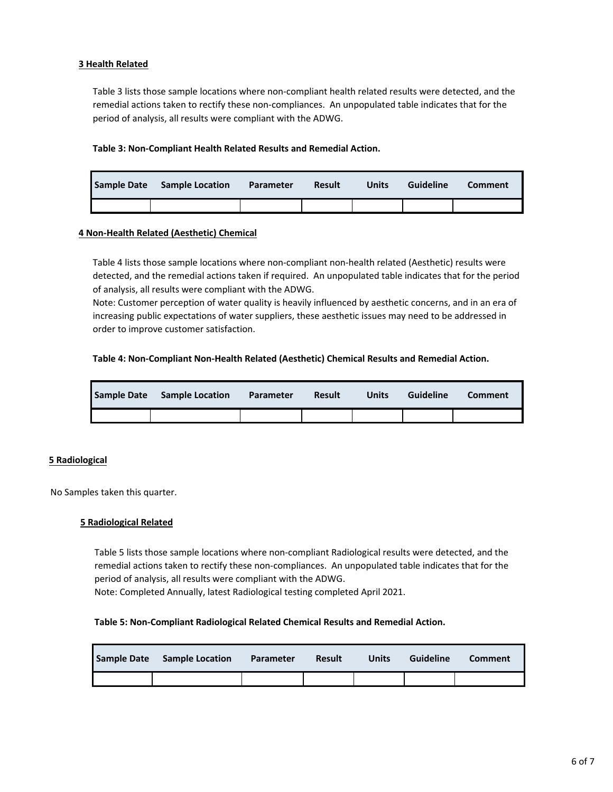#### **3 Health Related**

Table 3 lists those sample locations where non-compliant health related results were detected, and the remedial actions taken to rectify these non-compliances. An unpopulated table indicates that for the period of analysis, all results were compliant with the ADWG.

#### **Table 3: Non-Compliant Health Related Results and Remedial Action.**

| Sample Date Sample Location | Parameter | <b>Result</b> | <b>Units</b> | <b>Guideline</b> | Comment |
|-----------------------------|-----------|---------------|--------------|------------------|---------|
|                             |           |               |              |                  |         |

#### **4 Non-Health Related (Aesthetic) Chemical**

Table 4 lists those sample locations where non-compliant non-health related (Aesthetic) results were detected, and the remedial actions taken if required. An unpopulated table indicates that for the period of analysis, all results were compliant with the ADWG.

Note: Customer perception of water quality is heavily influenced by aesthetic concerns, and in an era of increasing public expectations of water suppliers, these aesthetic issues may need to be addressed in order to improve customer satisfaction.

#### **Table 4: Non-Compliant Non-Health Related (Aesthetic) Chemical Results and Remedial Action.**

| Sample Date Sample Location | <b>Parameter</b> | <b>Result</b> | Units | Guideline | Comment |
|-----------------------------|------------------|---------------|-------|-----------|---------|
|                             |                  |               |       |           |         |

#### **5 Radiological**

No Samples taken this quarter.

#### **5 Radiological Related**

Table 5 lists those sample locations where non-compliant Radiological results were detected, and the remedial actions taken to rectify these non-compliances. An unpopulated table indicates that for the period of analysis, all results were compliant with the ADWG.

Note: Completed Annually, latest Radiological testing completed April 2021.

#### **Table 5: Non-Compliant Radiological Related Chemical Results and Remedial Action.**

| Sample Date Sample Location | <b>Parameter</b> | <b>Result</b> | <b>Units</b> | Guideline | Comment |
|-----------------------------|------------------|---------------|--------------|-----------|---------|
|                             |                  |               |              |           |         |